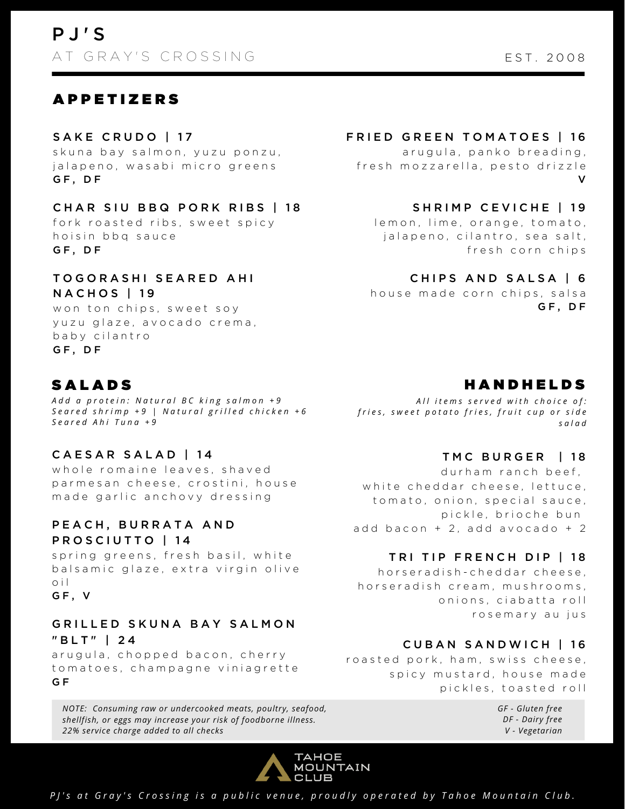# **A P P E T I Z E R S**

## SAKE CRUDO | 17

skuna bay salmon, yuzu ponzu, i a la p e no, was a bi micro greens GF. DF

## CHAR SIU BBQ PORK RIBS | 18

fork roasted ribs, sweet spicy hoisin bbq sauce GF. DF

## TO GORASHI SEARED AHI **NACHOS | 19**

w on ton chips, sweet soy y u z u glaze, avo cado crema, baby cilantro G F , D F

# **SALADS**

Add a protein: Natural BC king salmon +9 Seared shrimp +9 | Natural grilled chicken +6 *S e a r e d A h i T u n a + 9*

## CAESAR SALAD | 14

whole romaine leaves, shaved parmesan cheese, crostini, house made garlic anchovy dressing

## PEACH, BURRATA AND PROSCIUTTO | 14

spring greens, fresh basil, white balsamic glaze, extra virgin olive o i l

## GF, V

## GRILLED SKUNA BAY SALMON " B L T " | 2 4

arugula, chopped bacon, cherry to matoes, champagne viniagrette G F

*NOTE: Consuming raw or undercooked meats, poultry, seafood, shellfish, or eggs may increase your risk of foodborne illness. 22% service charge added to all checks*



# FRIED GREEN TOMATOES | 16

arugula, panko breading, fresh mozzarella, pesto drizzle  $\mathbf{v}$ 

## SHRIMP CEVICHE | 19

lemon, lime, orange, tomato, jalapeno, cilantro, sea salt, fresh corn chips

## CHIPS AND SALSA | 6

house made corn chips, salsa GF, DF

# **HANDHELDS**

All items served with choice of: fries, sweet potato fries, fruit cup or side *s a l a d*

## TMC BURGER | 18

durham ranch beef. white cheddar cheese, lettuce, to mato, onion, special sauce, pickle, brioche bun add bacon + 2, add avocado + 2

## TRI TIP FRENCH DIP | 18

h or s e r a d i s h - c h e d d a r c h e e s e, horseradish cream, mushrooms, onions, ciabatta roll ro semary au jus

## CUBAN SANDWICH | 16

roasted pork, ham, swiss cheese, spicy mustard, house made pickles, toasted roll

> *GF - Gluten free DF - Dairy free V - Vegetarian*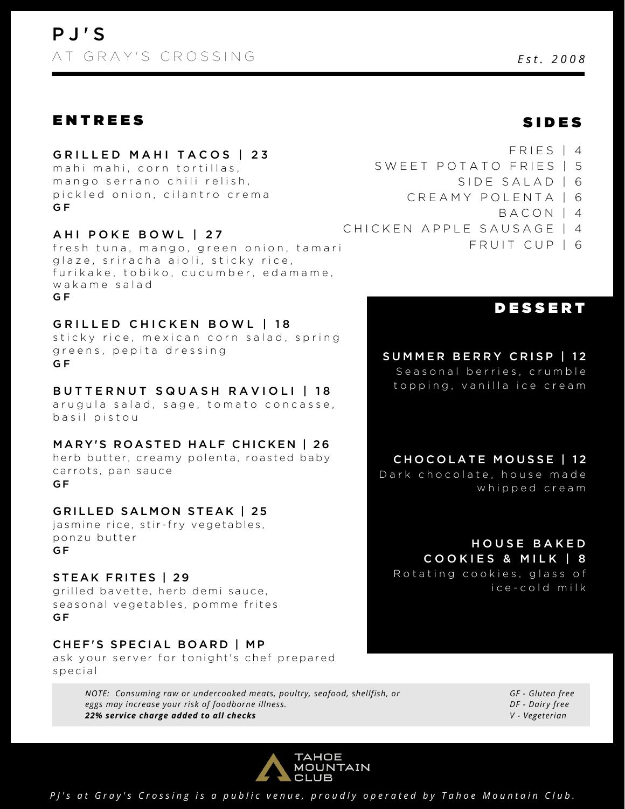## **ENTREES**

#### GRILLED MAHI TACOS | 23

mahi mahi, corn tortillas, mango serrano chili relish, pickled onion, cilantro crema G F

A H I P O K E B O W L | 27 fresh tuna, mango, green onion, tamari glaze, sriracha aioli, sticky rice, furikake, tobiko, cucumber, edamame. wakame salad G F

GRILLED CHICKEN BOWL | 18 sticky rice, mexican corn salad, spring greens, pepita dressing G F

#### BUTTERNUT SQUASH RAVIOLI | 18

arugula salad, sage, tomato concasse, basil pistou

#### MARY'S ROASTED HALF CHICKEN | 26

herb butter, creamy polenta, roasted baby carrots, pan sauce G F

#### GRILLED SALMON STEAK | 25

jasmine rice, stir-fry vegetables, ponzu butter G F

#### STEAK FRITES | 29

grilled bavette, herb demi sauce, seasonal vegetables, pomme frites G F

#### CHEF'S SPECIAL BOARD | MP

ask your server for tonight's chef prepared special

> *NOTE: Consuming raw or undercooked meats, poultry, seafood, shellfish, or eggs may increase your risk of foodborne illness. 22% service charge added to all checks*



## **SIDES**

#### $F$  R I E S | 4

- SWEET POTATO FRIES | 5
	- SIDE SALAD | 6
	- C R F A M Y P O L E N T A L 6
		- $B A C O N$  | 4
- C H I C K E N A P P I F SAUSAGE | 4
	- FRUIT CUP | 6

## **DESSERT**

SUMMER BERRY CRISP | 12 Seasonal berries, crumble topping, vanilla ice cream

CHOCOLATE MOUSSE | 12 Dark chocolate, house made whipped cream

> H O U S E B A K E D COOKIES & MILK | 8

Rotating cookies, glass of ice-cold milk

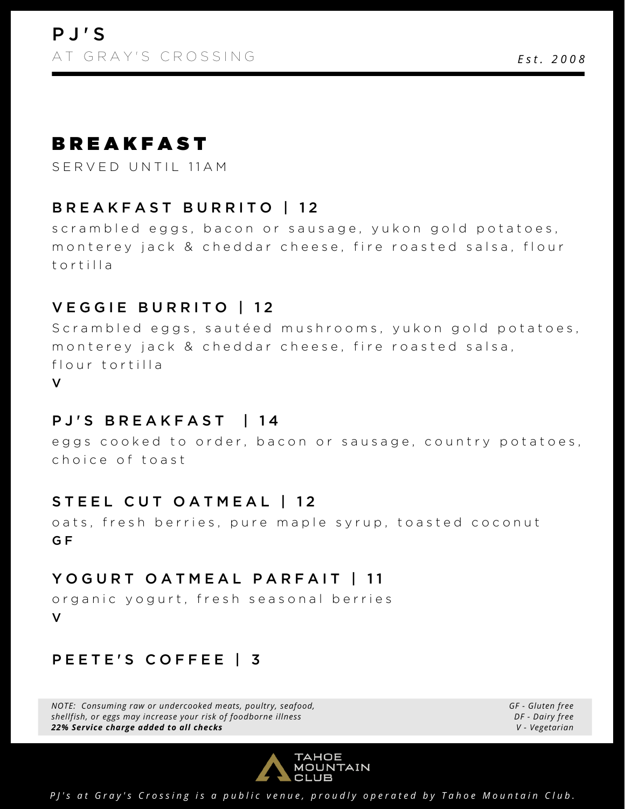# **BREAKFAST**

SERVED UNTIL 11AM

# BREAKFAST BURRITO | 12

scrambled eggs, bacon or sausage, yukon gold potatoes, m on terey jack & cheddar cheese, fire roasted salsa, flour t o r t i l l a

## VEGGIE BURRITO | 12

S c r a m b l e d e g g s, s a u t é e d m u s h r o o m s, y u k o n g o l d p o t a t o e s, m on terey jack & cheddar cheese, fire roasted salsa, flour tortilla V

## PJ'S BREAKFAST | 14

eggs cooked to order, bacon or sausage, country potatoes, choice of toast

## STEEL CUT OATMEAL | 12

oats, fresh berries, pure maple syrup, toasted coconut G F

## YOGURT OATMEAL PARFAIT | 11

organic yogurt, fresh seasonal berries V

# PEETE'S COFFEE | 3

*NOTE: Consuming raw or undercooked meats, poultry, seafood, shellfish, or eggs may increase your risk of foodborne illness 22% Service charge added to all checks*

*GF - Gluten free DF - Dairy free V - Vegetarian*

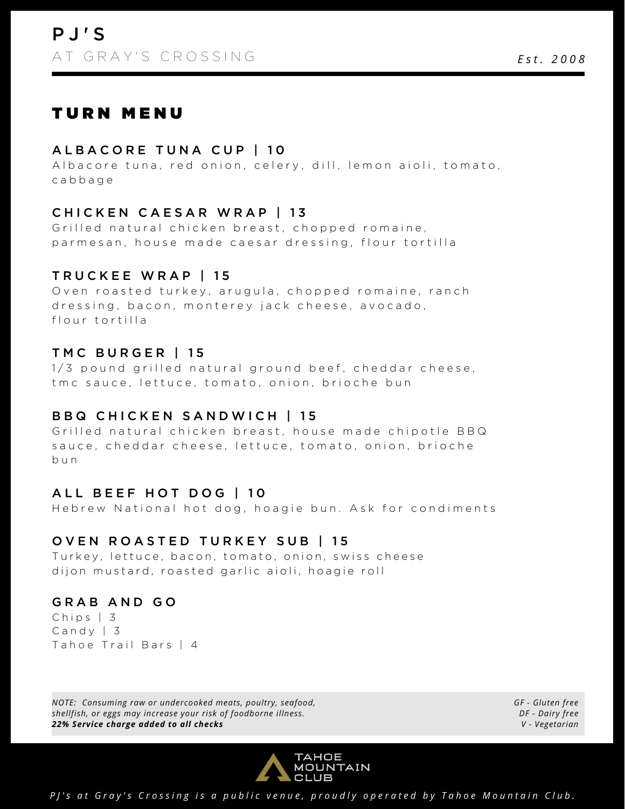# **TURN MENU**

#### A L B A C O R E T U N A C U P | 10

A lbacore tuna, red onion, celery, dill, lemon aioli, tomato, c a b b a g e

#### CHICKEN CAESAR WRAP | 13

Grilled natural chicken breast, chopped romaine, parmesan, house made caesar dressing, flour tortilla

#### TRUCKEE WRAP | 15

O v en roasted turkey, arugula, chopped romaine, ranch dressing, bacon, monterey jack cheese, avocado, flour tortilla

#### TMC BURGER | 15

 $1/3$  pound grilled natural ground beef, cheddar cheese, tmc sauce, lettuce, tomato, onion, brioche bun

## B B Q CH I C K E N S A N D W I C H | 15

Grilled natural chicken breast, house made chipotle BBQ sauce, cheddar cheese, lettuce, tomato, onion, brioche b u n

## ALL BEEF HOT DOG | 10

Hebrew National hot dog, hoagie bun. Ask for condiments

## OVEN ROASTED TURKEY SUB | 15

Turkey, lettuce, bacon, tomato, onion, swiss cheese dijon mustard, roasted garlic aioli, hoagie roll

## GRAB AND GO

 $Chips$   $3$  $C$  and  $v$  | 3 Tahoe Trail Bars | 4

*NOTE: Consuming raw or undercooked meats, poultry, seafood, shellfish, or eggs may increase your risk of foodborne illness. 22% Service charge added to all checks*

*GF - Gluten free DF - Dairy free V - Vegetarian*

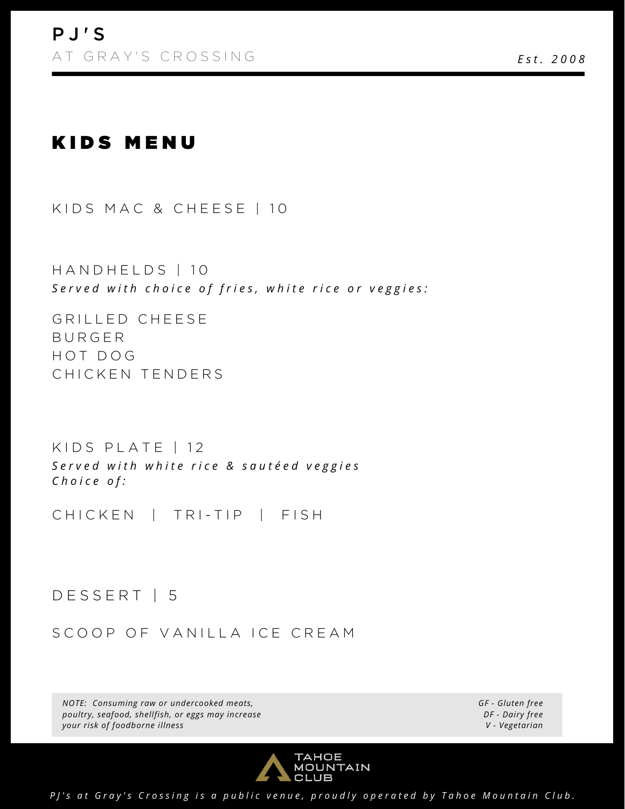# KIDS MENU

KIDS MAC & CHEESE | 10

H A N D H E L D S | 1 0 Served with choice of fries, white rice or veggies:

GRILLED CHEESE **BURGER** H O T D O G CHICKEN TENDERS

KIDS PLATE  $|12$ Served with white rice & sautéed veggies *C h o i c e o f :*

CHICKEN | TRI-TIP | FISH

# DESSERT | 5

SCOOP OF VANILLA ICE CREAM

*NOTE: Consuming raw or undercooked meats, poultry, seafood, shellfish, or eggs may increase your risk of foodborne illness*

*GF - Gluten free DF - Dairy free V - Vegetarian*

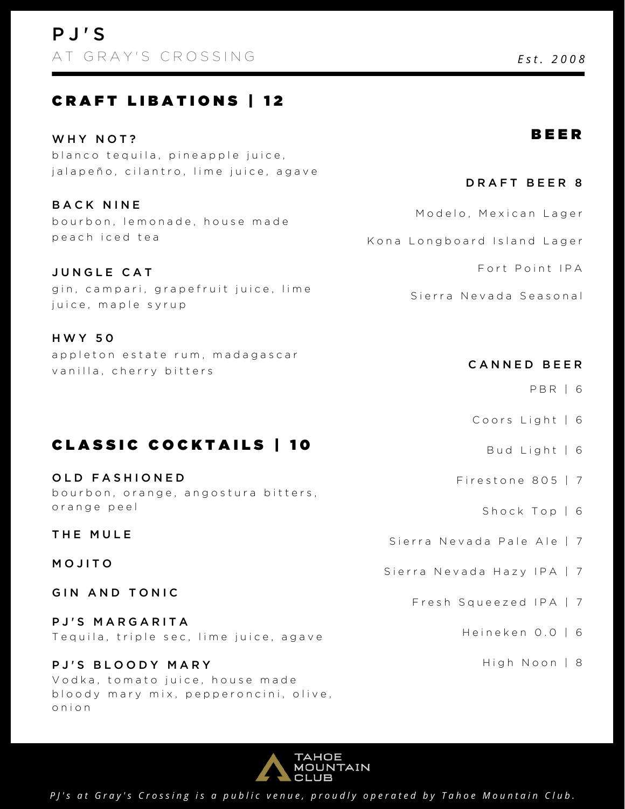# **CRAFT LIBATIONS | 12**

#### WHY NOT?

blanco tequila, pineapple juice, jalapeño, cilantro, lime juice, agave

BACK NINE bourbon, lemonade, house made

p e a c h i c e d t e a

JUNGLE CAT gin, campari, grapefruit juice, lime juice, maple syrup

#### H W Y 5 0

ap p l e t o n e state rum, madagascar vanilla, cherry bitters

# **CLASSIC COCKTAILS | 10**

OLD FASHIONED bourbon, orange, angostura bitters, orange peel

#### THE MULE

M O J I T O

GIN AND TONIC

P J'S MARGARITA Tequila, triple sec, lime juice, agave

## PJ'S BLOODY MARY

Vodka, tomato juice, house made bloody mary mix, pepperoncini, olive, o n i o n

B E E R

DRAFT BEER 8

#### Modelo, Mexican Lager

Kona Longboard Island Lager

Fort Point IPA

Sierra Nevada Seasonal

## CANNED BEER

- P B R | 6
- Coors Light | 6
	- Bud Light  $6$
- Firestone 805 | 7
	- Shock Top | 6
- Sierra Nevada Pale Ale | 7
- Sierra Nevada Hazy IPA | 7
	- Fresh Squeezed IPA | 7
		- Heineken 0.0 | 6
			- High Noon | 8



- 
-